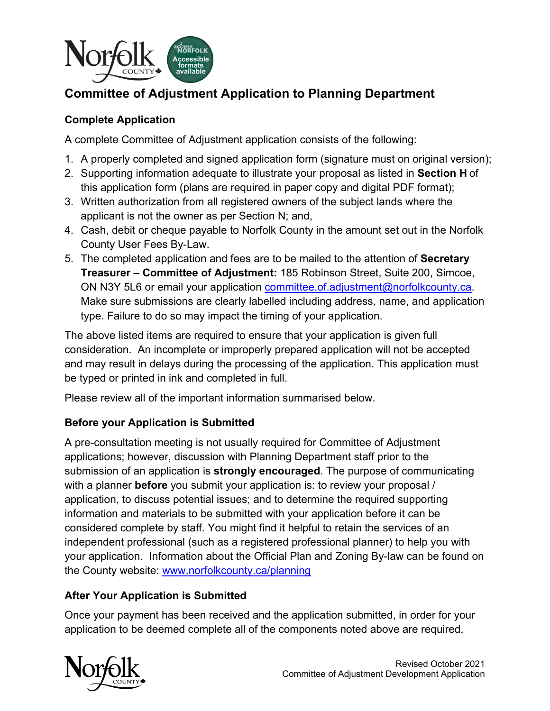

# **Committee of Adjustment Application to Planning Department**

# **Complete Application**

A complete Committee of Adjustment application consists of the following:

- 1. A properly completed and signed application form (signature must on original version);
- 2. Supporting information adequate to illustrate your proposal as listed in **Section H** of this application form (plans are required in paper copy and digital PDF format);
- 3. Written authorization from all registered owners of the subject lands where the applicant is not the owner as per Section N; and,
- County User Fees By-Law. 4. Cash, debit or cheque payable to Norfolk County in the amount set out in the Norfolk
- 5. The completed application and fees are to be mailed to the attention of **Secretary Treasurer – Committee of Adjustment:** 185 Robinson Street, Suite 200, Simcoe, ON N3Y 5L6 or email your application [committee.of.adjustment@norfolkcounty.ca.](mailto:committee.of.adjustment@norfolkcounty.ca) Make sure submissions are clearly labelled including address, name, and application type. Failure to do so may impact the timing of your application.

The above listed items are required to ensure that your application is given full consideration. An incomplete or improperly prepared application will not be accepted and may result in delays during the processing of the application. This application must be typed or printed in ink and completed in full.

Please review all of the important information summarised below.

# **Before your Application is Submitted**

 information and materials to be submitted with your application before it can be your application. Information about the Official Plan and Zoning By-law can be found on the County website: <u>www.norfolkcounty.ca/planning</u> A pre-consultation meeting is not usually required for Committee of Adjustment applications; however, discussion with Planning Department staff prior to the submission of an application is **strongly encouraged**. The purpose of communicating with a planner **before** you submit your application is: to review your proposal / application, to discuss potential issues; and to determine the required supporting considered complete by staff. You might find it helpful to retain the services of an independent professional (such as a registered professional planner) to help you with

# **After Your Application is Submitted**

 Once your payment has been received and the application submitted, in order for your application to be deemed complete all of the components noted above are required.

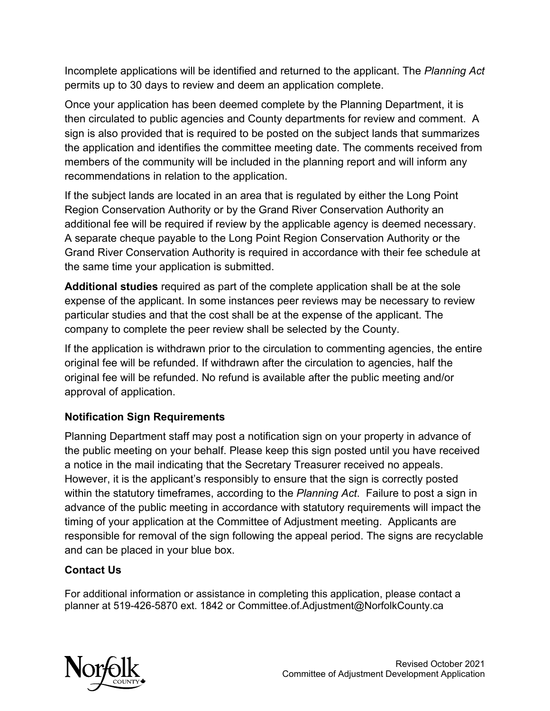Incomplete applications will be identified and returned to the applicant. The *Planning Act*  permits up to 30 days to review and deem an application complete.

 Once your application has been deemed complete by the Planning Department, it is then circulated to public agencies and County departments for review and comment. A recommendations in relation to the application. sign is also provided that is required to be posted on the subject lands that summarizes the application and identifies the committee meeting date. The comments received from members of the community will be included in the planning report and will inform any

additional fee will be required if review by the applicable agency is deemed necessary. the same time your application is submitted. If the subject lands are located in an area that is regulated by either the Long Point Region Conservation Authority or by the Grand River Conservation Authority an A separate cheque payable to the Long Point Region Conservation Authority or the Grand River Conservation Authority is required in accordance with their fee schedule at

**Additional studies** required as part of the complete application shall be at the sole expense of the applicant. In some instances peer reviews may be necessary to review particular studies and that the cost shall be at the expense of the applicant. The company to complete the peer review shall be selected by the County.

 original fee will be refunded. No refund is available after the public meeting and/or If the application is withdrawn prior to the circulation to commenting agencies, the entire original fee will be refunded. If withdrawn after the circulation to agencies, half the approval of application.

# **Notification Sign Requirements**

 timing of your application at the Committee of Adjustment meeting. Applicants are Planning Department staff may post a notification sign on your property in advance of the public meeting on your behalf. Please keep this sign posted until you have received a notice in the mail indicating that the Secretary Treasurer received no appeals. However, it is the applicant's responsibly to ensure that the sign is correctly posted within the statutory timeframes, according to the *Planning Act*. Failure to post a sign in advance of the public meeting in accordance with statutory requirements will impact the responsible for removal of the sign following the appeal period. The signs are recyclable and can be placed in your blue box.

# **Contact Us**

For additional information or assistance in completing this application, please contact a planner at 519-426-5870 ext. 1842 or [Committee.of.Adjustment@NorfolkCounty.ca](mailto:Committee.of.Adjustment@NorfolkCounty.ca) 

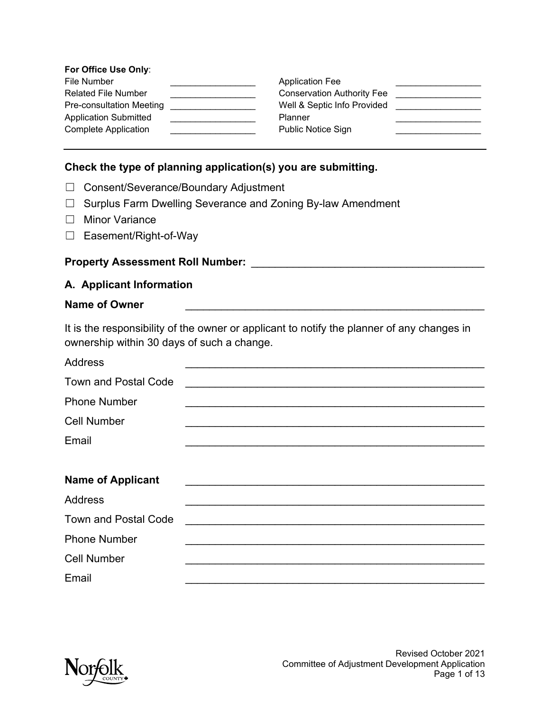#### **For Office Use Only**:

| File Number                     | <b>Application Fee</b>            |  |
|---------------------------------|-----------------------------------|--|
| <b>Related File Number</b>      | <b>Conservation Authority Fee</b> |  |
| <b>Pre-consultation Meeting</b> | Well & Septic Info Provided       |  |
| <b>Application Submitted</b>    | Planner                           |  |
| <b>Complete Application</b>     | <b>Public Notice Sign</b>         |  |

### **Check the type of planning application(s) you are submitting.**

- ☐ Consent/Severance/Boundary Adjustment
- ☐ Surplus Farm Dwelling Severance and Zoning By-law Amendment
- ☐ Minor Variance
- ☐ Easement/Right-of-Way

#### **Property Assessment Roll Number:** \_\_\_\_\_\_\_\_\_\_\_\_\_\_\_\_\_\_\_\_\_\_\_\_\_\_\_\_\_\_\_\_\_\_\_\_\_\_\_

#### **A. Applicant Information**

#### **Name of Owner** \_\_\_\_\_\_\_\_\_\_\_\_\_\_\_\_\_\_\_\_\_\_\_\_\_\_\_\_\_\_\_\_\_\_\_\_\_\_\_\_\_\_\_\_\_\_\_\_\_\_

It is the responsibility of the owner or applicant to notify the planner of any changes in ownership within 30 days of such a change.

| <b>Address</b>                             |  |
|--------------------------------------------|--|
| <b>Town and Postal Code</b>                |  |
| <b>Phone Number</b>                        |  |
| <b>Cell Number</b>                         |  |
| Email                                      |  |
|                                            |  |
|                                            |  |
|                                            |  |
| <b>Name of Applicant</b><br><b>Address</b> |  |
| <b>Town and Postal Code</b>                |  |
| <b>Phone Number</b>                        |  |
| <b>Cell Number</b>                         |  |

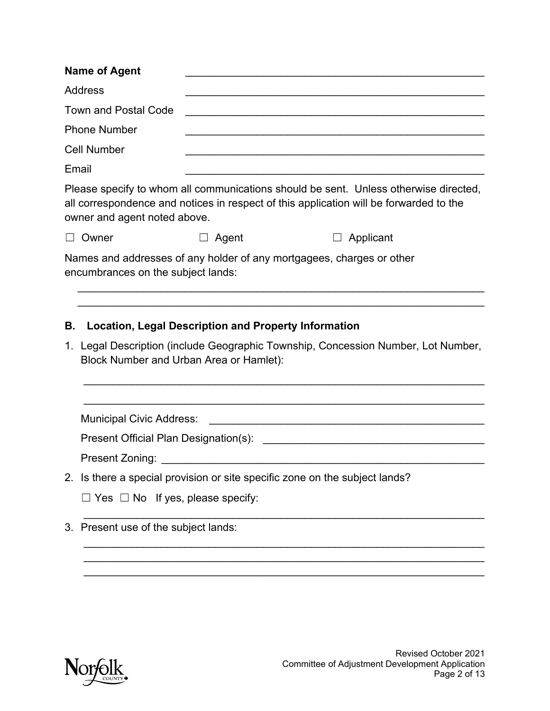| <b>Name of Agent</b>                                                                        |                                                             |                                                                                                                                                                                |
|---------------------------------------------------------------------------------------------|-------------------------------------------------------------|--------------------------------------------------------------------------------------------------------------------------------------------------------------------------------|
| <b>Address</b>                                                                              |                                                             |                                                                                                                                                                                |
| <b>Town and Postal Code</b>                                                                 |                                                             |                                                                                                                                                                                |
| <b>Phone Number</b>                                                                         |                                                             |                                                                                                                                                                                |
| <b>Cell Number</b>                                                                          |                                                             |                                                                                                                                                                                |
| Email                                                                                       |                                                             |                                                                                                                                                                                |
| owner and agent noted above.                                                                |                                                             | Please specify to whom all communications should be sent. Unless otherwise directed,<br>all correspondence and notices in respect of this application will be forwarded to the |
| Owner                                                                                       | Agent<br>$\Box$                                             | Applicant<br>$\Box$                                                                                                                                                            |
| encumbrances on the subject lands:<br>В.<br>Block Number and Urban Area or Hamlet):         | <b>Location, Legal Description and Property Information</b> | 1. Legal Description (include Geographic Township, Concession Number, Lot Number,                                                                                              |
| <b>Municipal Civic Address:</b><br>Present Official Plan Designation(s):<br>Present Zoning: |                                                             | the control of the control of the control of the control of the control of the control of                                                                                      |
|                                                                                             |                                                             | 2. Is there a special provision or site specific zone on the subject lands?                                                                                                    |
| $\Box$ Yes $\Box$ No If yes, please specify:                                                |                                                             |                                                                                                                                                                                |
| 3. Present use of the subject lands:                                                        |                                                             |                                                                                                                                                                                |
|                                                                                             |                                                             |                                                                                                                                                                                |

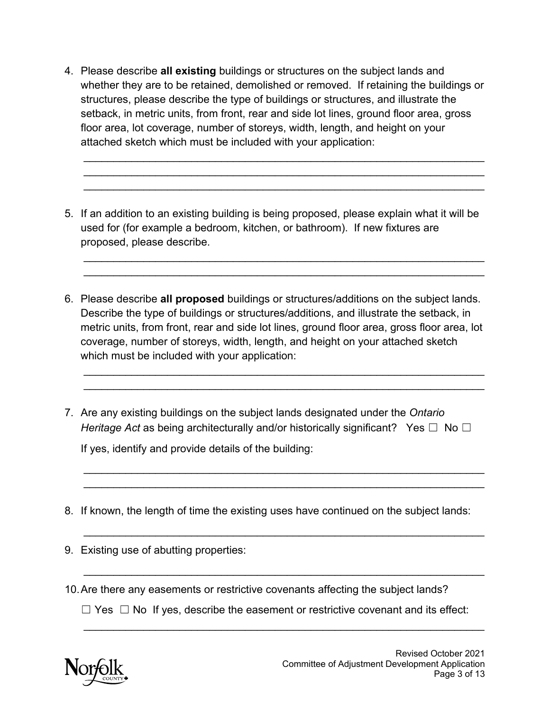whether they are to be retained, demolished or removed. If retaining the buildings or floor area, lot coverage, number of storeys, width, length, and height on your 4. Please describe **all existing** buildings or structures on the subject lands and structures, please describe the type of buildings or structures, and illustrate the setback, in metric units, from front, rear and side lot lines, ground floor area, gross attached sketch which must be included with your application:

\_\_\_\_\_\_\_\_\_\_\_\_\_\_\_\_\_\_\_\_\_\_\_\_\_\_\_\_\_\_\_\_\_\_\_\_\_\_\_\_\_\_\_\_\_\_\_\_\_\_\_\_\_\_\_\_\_\_\_\_\_\_\_\_\_\_\_ \_\_\_\_\_\_\_\_\_\_\_\_\_\_\_\_\_\_\_\_\_\_\_\_\_\_\_\_\_\_\_\_\_\_\_\_\_\_\_\_\_\_\_\_\_\_\_\_\_\_\_\_\_\_\_\_\_\_\_\_\_\_\_\_\_\_\_ \_\_\_\_\_\_\_\_\_\_\_\_\_\_\_\_\_\_\_\_\_\_\_\_\_\_\_\_\_\_\_\_\_\_\_\_\_\_\_\_\_\_\_\_\_\_\_\_\_\_\_\_\_\_\_\_\_\_\_\_\_\_\_\_\_\_\_

 5. If an addition to an existing building is being proposed, please explain what it will be used for (for example a bedroom, kitchen, or bathroom). If new fixtures are proposed, please describe.

\_\_\_\_\_\_\_\_\_\_\_\_\_\_\_\_\_\_\_\_\_\_\_\_\_\_\_\_\_\_\_\_\_\_\_\_\_\_\_\_\_\_\_\_\_\_\_\_\_\_\_\_\_\_\_\_\_\_\_\_\_\_\_\_\_\_\_ \_\_\_\_\_\_\_\_\_\_\_\_\_\_\_\_\_\_\_\_\_\_\_\_\_\_\_\_\_\_\_\_\_\_\_\_\_\_\_\_\_\_\_\_\_\_\_\_\_\_\_\_\_\_\_\_\_\_\_\_\_\_\_\_\_\_\_

 6. Please describe **all proposed** buildings or structures/additions on the subject lands. Describe the type of buildings or structures/additions, and illustrate the setback, in metric units, from front, rear and side lot lines, ground floor area, gross floor area, lot coverage, number of storeys, width, length, and height on your attached sketch which must be included with your application:

\_\_\_\_\_\_\_\_\_\_\_\_\_\_\_\_\_\_\_\_\_\_\_\_\_\_\_\_\_\_\_\_\_\_\_\_\_\_\_\_\_\_\_\_\_\_\_\_\_\_\_\_\_\_\_\_\_\_\_\_\_\_\_\_\_\_\_ \_\_\_\_\_\_\_\_\_\_\_\_\_\_\_\_\_\_\_\_\_\_\_\_\_\_\_\_\_\_\_\_\_\_\_\_\_\_\_\_\_\_\_\_\_\_\_\_\_\_\_\_\_\_\_\_\_\_\_\_\_\_\_\_\_\_\_

\_\_\_\_\_\_\_\_\_\_\_\_\_\_\_\_\_\_\_\_\_\_\_\_\_\_\_\_\_\_\_\_\_\_\_\_\_\_\_\_\_\_\_\_\_\_\_\_\_\_\_\_\_\_\_\_\_\_\_\_\_\_\_\_\_\_\_ \_\_\_\_\_\_\_\_\_\_\_\_\_\_\_\_\_\_\_\_\_\_\_\_\_\_\_\_\_\_\_\_\_\_\_\_\_\_\_\_\_\_\_\_\_\_\_\_\_\_\_\_\_\_\_\_\_\_\_\_\_\_\_\_\_\_\_

\_\_\_\_\_\_\_\_\_\_\_\_\_\_\_\_\_\_\_\_\_\_\_\_\_\_\_\_\_\_\_\_\_\_\_\_\_\_\_\_\_\_\_\_\_\_\_\_\_\_\_\_\_\_\_\_\_\_\_\_\_\_\_\_\_\_\_

\_\_\_\_\_\_\_\_\_\_\_\_\_\_\_\_\_\_\_\_\_\_\_\_\_\_\_\_\_\_\_\_\_\_\_\_\_\_\_\_\_\_\_\_\_\_\_\_\_\_\_\_\_\_\_\_\_\_\_\_\_\_\_\_\_\_\_

*Heritage Act* as being architecturally and/or historically significant?  $\;$  Yes  $\Box\;$  No  $\Box$ 7. Are any existing buildings on the subject lands designated under the *Ontario*

If yes, identify and provide details of the building:

- 8. If known, the length of time the existing uses have continued on the subject lands:
- 9. Existing use of abutting properties:
- 10.Are there any easements or restrictive covenants affecting the subject lands?

 $\Box$  Yes  $\Box$  No If yes, describe the easement or restrictive covenant and its effect:

\_\_\_\_\_\_\_\_\_\_\_\_\_\_\_\_\_\_\_\_\_\_\_\_\_\_\_\_\_\_\_\_\_\_\_\_\_\_\_\_\_\_\_\_\_\_\_\_\_\_\_\_\_\_\_\_\_\_\_\_\_\_\_\_\_\_\_



j. j.

j. j.

j. j.

j. j.

j.

j.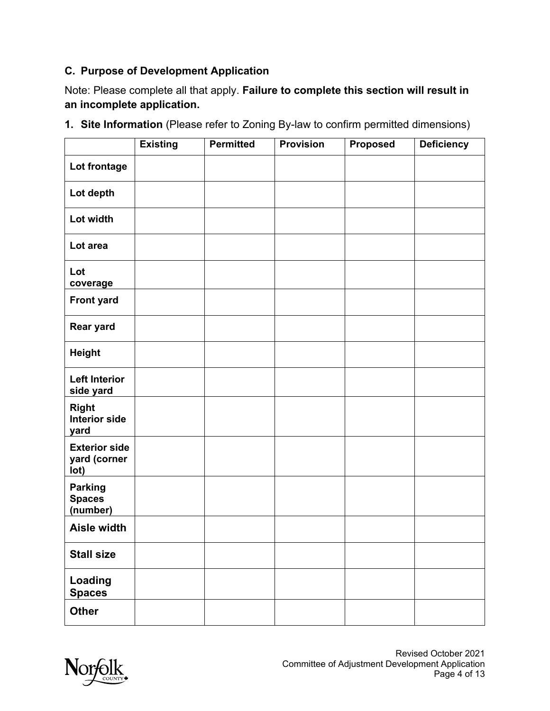# **C. Purpose of Development Application**

Note: Please complete all that apply. **Failure to complete this section will result in an incomplete application.** 

|                                              | <b>Existing</b> | <b>Permitted</b> | <b>Provision</b> | <b>Proposed</b> | <b>Deficiency</b> |
|----------------------------------------------|-----------------|------------------|------------------|-----------------|-------------------|
| Lot frontage                                 |                 |                  |                  |                 |                   |
| Lot depth                                    |                 |                  |                  |                 |                   |
| Lot width                                    |                 |                  |                  |                 |                   |
| Lot area                                     |                 |                  |                  |                 |                   |
| Lot<br>coverage                              |                 |                  |                  |                 |                   |
| <b>Front yard</b>                            |                 |                  |                  |                 |                   |
| <b>Rear yard</b>                             |                 |                  |                  |                 |                   |
| <b>Height</b>                                |                 |                  |                  |                 |                   |
| <b>Left Interior</b><br>side yard            |                 |                  |                  |                 |                   |
| <b>Right</b><br><b>Interior side</b><br>yard |                 |                  |                  |                 |                   |
| <b>Exterior side</b><br>yard (corner<br>lot) |                 |                  |                  |                 |                   |
| <b>Parking</b><br><b>Spaces</b><br>(number)  |                 |                  |                  |                 |                   |
| Aisle width                                  |                 |                  |                  |                 |                   |
| <b>Stall size</b>                            |                 |                  |                  |                 |                   |
| Loading<br><b>Spaces</b>                     |                 |                  |                  |                 |                   |
| <b>Other</b>                                 |                 |                  |                  |                 |                   |

**1. Site Information** (Please refer to Zoning By-law to confirm permitted dimensions)

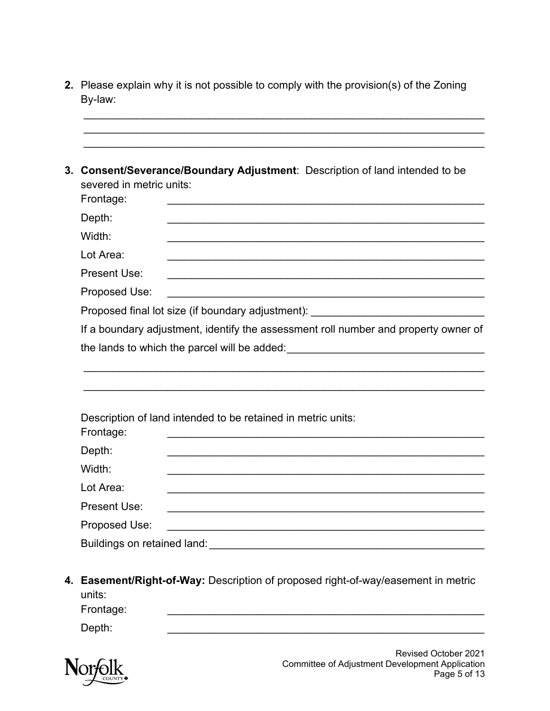By-law:

j. j. Frontage: Depth: Width: Lot Area: Present Use: \_\_\_\_\_\_\_\_\_\_\_\_\_\_\_\_\_\_\_\_\_\_\_\_\_\_\_\_\_\_\_\_\_\_\_\_\_\_\_\_\_\_\_\_\_\_\_\_\_\_\_\_\_ Proposed Use: \_\_\_\_\_\_\_\_\_\_\_\_\_\_\_\_\_\_\_\_\_\_\_\_\_\_\_\_\_\_\_\_\_\_\_\_\_\_\_\_\_\_\_\_\_\_\_\_\_\_\_\_\_ j. j. j. j. Frontage: \_\_\_\_\_\_\_\_\_\_\_\_\_\_\_\_\_\_\_\_\_\_\_\_\_\_\_\_\_\_\_\_\_\_\_\_\_\_\_\_\_\_\_\_\_\_\_\_\_\_\_\_\_ Depth: Width: Lot Area: Present Use: \_\_\_\_\_\_\_\_\_\_\_\_\_\_\_\_\_\_\_\_\_\_\_\_\_\_\_\_\_\_\_\_\_\_\_\_\_\_\_\_\_\_\_\_\_\_\_\_\_\_\_\_\_ Proposed Use: j. 2. Please explain why it is not possible to comply with the provision(s) of the Zoning<br>By-law:<br>By-law:<br><br>3. Consent/Severance/Boundary Adjustment: Description of land intended to be<br>severed in metric units:<br>Frontage:<br>Depth: **3. Consent/Severance/Boundary Adjustment**: Description of land intended to be severed in metric units: Frontage: \_\_\_\_\_\_\_\_\_\_\_\_\_\_\_\_\_\_\_\_\_\_\_\_\_\_\_\_\_\_\_\_\_\_\_\_\_\_\_\_\_\_\_\_\_\_\_\_\_\_\_\_\_ Depth: \_\_\_\_\_\_\_\_\_\_\_\_\_\_\_\_\_\_\_\_\_\_\_\_\_\_\_\_\_\_\_\_\_\_\_\_\_\_\_\_\_\_\_\_\_\_\_\_\_\_\_\_\_ Width: \_\_\_\_\_\_\_\_\_\_\_\_\_\_\_\_\_\_\_\_\_\_\_\_\_\_\_\_\_\_\_\_\_\_\_\_\_\_\_\_\_\_\_\_\_\_\_\_\_\_\_\_\_ Lot Area: \_\_\_\_\_\_\_\_\_\_\_\_\_\_\_\_\_\_\_\_\_\_\_\_\_\_\_\_\_\_\_\_\_\_\_\_\_\_\_\_\_\_\_\_\_\_\_\_\_\_\_\_\_ Proposed final lot size (if boundary adjustment): \_\_\_\_\_\_\_\_\_\_\_\_\_\_\_\_\_\_\_\_\_\_\_\_\_\_\_\_\_\_<br>If a boundary adjustment, identify the assessment roll number and property owner of the lands to which the parcel will be added:\_\_\_\_\_\_\_\_\_\_\_\_\_\_\_\_\_\_\_\_\_\_\_\_\_\_\_\_\_\_\_\_\_ Description of land intended to be retained in metric units: Depth: \_\_\_\_\_\_\_\_\_\_\_\_\_\_\_\_\_\_\_\_\_\_\_\_\_\_\_\_\_\_\_\_\_\_\_\_\_\_\_\_\_\_\_\_\_\_\_\_\_\_\_\_\_ Width: \_\_\_\_\_\_\_\_\_\_\_\_\_\_\_\_\_\_\_\_\_\_\_\_\_\_\_\_\_\_\_\_\_\_\_\_\_\_\_\_\_\_\_\_\_\_\_\_\_\_\_\_\_ Lot Area: \_\_\_\_\_\_\_\_\_\_\_\_\_\_\_\_\_\_\_\_\_\_\_\_\_\_\_\_\_\_\_\_\_\_\_\_\_\_\_\_\_\_\_\_\_\_\_\_\_\_\_\_\_ Proposed Use: \_\_\_\_\_\_\_\_\_\_\_\_\_\_\_\_\_\_\_\_\_\_\_\_\_\_\_\_\_\_\_\_\_\_\_\_\_\_\_\_\_\_\_\_\_\_\_\_\_\_\_\_\_ Buildings on retained land: \_\_\_\_\_\_\_\_\_\_\_\_\_\_\_\_\_\_\_\_\_\_\_\_\_\_\_\_\_\_\_\_\_\_\_\_\_\_\_\_\_\_\_\_\_\_

**4. Easement/Right-of-Way:** Description of proposed right-of-way/easement in metric units:

Frontage: \_\_\_\_\_\_\_\_\_\_\_\_\_\_\_\_\_\_\_\_\_\_\_\_\_\_\_\_\_\_\_\_\_\_\_\_\_\_\_\_\_\_\_\_\_\_\_\_\_\_\_\_\_

Depth: Depth: \_\_\_\_\_\_\_\_\_\_\_\_\_\_\_\_\_\_\_\_\_\_\_\_\_\_\_\_\_\_\_\_\_\_\_\_\_\_\_\_\_\_\_\_\_\_\_\_\_\_\_\_\_

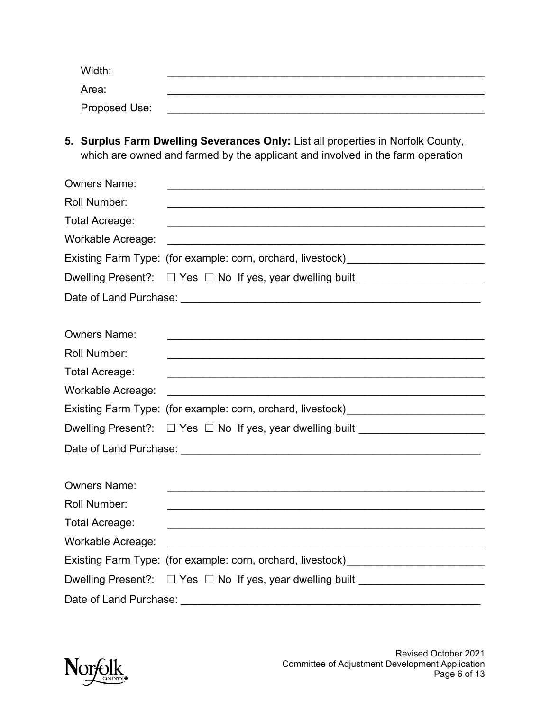| Width:        |  |
|---------------|--|
| Area:         |  |
| Proposed Use: |  |

**5. Surplus Farm Dwelling Severances Only:** List all properties in Norfolk County,

|                          | which are owned and farmed by the applicant and involved in the farm operation                                        |
|--------------------------|-----------------------------------------------------------------------------------------------------------------------|
| <b>Owners Name:</b>      |                                                                                                                       |
| Roll Number:             |                                                                                                                       |
| Total Acreage:           | <u> 1990 - Johann Barbara, martxar argametar (h. 1989).</u>                                                           |
| Workable Acreage:        |                                                                                                                       |
|                          | Existing Farm Type: (for example: corn, orchard, livestock)_____________________                                      |
|                          | Dwelling Present?: □ Yes □ No If yes, year dwelling built _____________________                                       |
|                          |                                                                                                                       |
| <b>Owners Name:</b>      |                                                                                                                       |
| <b>Roll Number:</b>      |                                                                                                                       |
| <b>Total Acreage:</b>    |                                                                                                                       |
| <b>Workable Acreage:</b> |                                                                                                                       |
|                          | Existing Farm Type: (for example: corn, orchard, livestock)_____________________                                      |
|                          | Dwelling Present?: □ Yes □ No If yes, year dwelling built _____________________                                       |
|                          |                                                                                                                       |
| <b>Owners Name:</b>      |                                                                                                                       |
| <b>Roll Number:</b>      | <u> 1989 - Johann Barn, amerikan berkema dalam berkema dalam berkema dalam berkema dalam berkema dalam berkema da</u> |
| Total Acreage:           |                                                                                                                       |
| Workable Acreage:        |                                                                                                                       |
|                          | Existing Farm Type: (for example: corn, orchard, livestock)_____________________                                      |
|                          | Dwelling Present?: □ Yes □ No If yes, year dwelling built _____________________                                       |
|                          |                                                                                                                       |

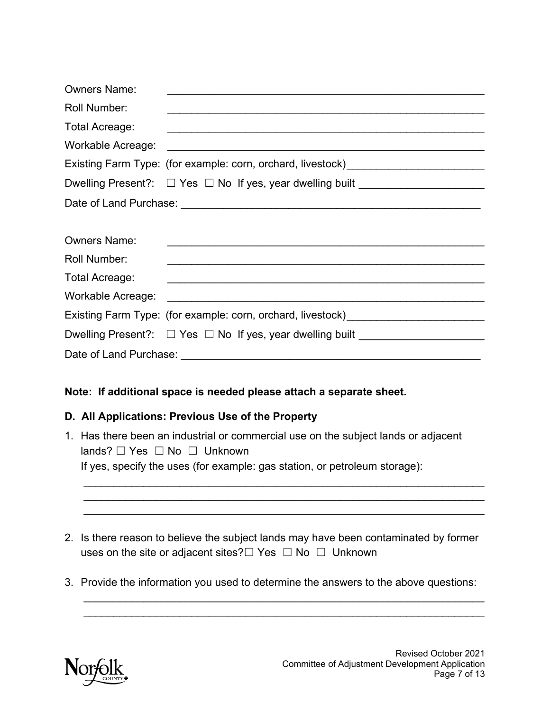| <b>Owners Name:</b>      |                                                                                                                                  |  |
|--------------------------|----------------------------------------------------------------------------------------------------------------------------------|--|
| <b>Roll Number:</b>      |                                                                                                                                  |  |
| <b>Total Acreage:</b>    |                                                                                                                                  |  |
| <b>Workable Acreage:</b> |                                                                                                                                  |  |
|                          | Existing Farm Type: (for example: corn, orchard, livestock)_____________________                                                 |  |
|                          | Dwelling Present?: □ Yes □ No If yes, year dwelling built _____________________                                                  |  |
|                          |                                                                                                                                  |  |
| <b>Owners Name:</b>      |                                                                                                                                  |  |
| <b>Roll Number:</b>      | <u> 1989 - Johann Barbara, marka masjid a shekara ta 1989 - André a shekara ta 1989 - André a shekara ta 198</u>                 |  |
| Total Acreage:           |                                                                                                                                  |  |
| Workable Acreage:        |                                                                                                                                  |  |
|                          | Existing Farm Type: (for example: corn, orchard, livestock)_____________________                                                 |  |
|                          | Dwelling Present?: □ Yes □ No If yes, year dwelling built _____________________                                                  |  |
|                          |                                                                                                                                  |  |
|                          |                                                                                                                                  |  |
|                          | Note: If additional space is needed please attach a separate sheet.                                                              |  |
|                          | D. All Applications: Previous Use of the Property                                                                                |  |
|                          | 1. Has there been an industrial or commercial use on the subject lands or adjacent<br>lands? $\Box$ Yes $\Box$ No $\Box$ Unknown |  |
|                          | If yes, specify the uses (for example: gas station, or petroleum storage):                                                       |  |
|                          |                                                                                                                                  |  |
|                          | 2. Is there reason to believe the subject lands may have been contaminated by former                                             |  |
|                          | uses on the site or adjacent sites? $\Box$ Yes $\Box$ No $\Box$ Unknown                                                          |  |
|                          | 3. Provide the information you used to determine the answers to the above questions:                                             |  |
|                          |                                                                                                                                  |  |

### **Note: If additional space is needed please attach a separate sheet.**

#### **D. All Applications: Previous Use of the Property**

- lands? □ Yes □ No □ Unknown 1. Has there been an industrial or commercial use on the subject lands or adjacent If yes, specify the uses (for example: gas station, or petroleum storage):
- uses on the site or adjacent sites? $\Box$  Yes  $\Box$  No  $\Box$  Unknown 2. Is there reason to believe the subject lands may have been contaminated by former
- 3. Provide the information you used to determine the answers to the above questions:

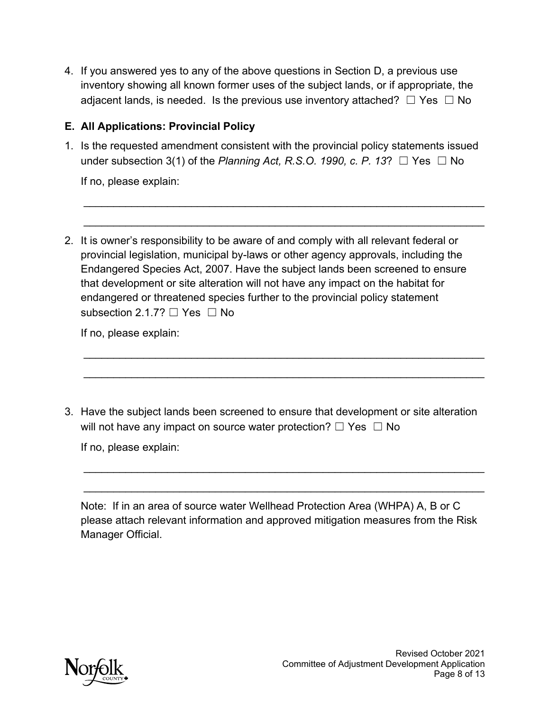adjacent lands, is needed. Is the previous use inventory attached?  $\Box$  Yes  $\ \Box$  No inventory showing all known former uses of the subject lands, or if appropriate, the

# **E. All Applications: Provincial Policy**

under subsection 3(1) of the *Planning Act, R.S.O. 1990, c. P. 13*?  $\Box$  Yes  $\Box$  No 1. Is the requested amendment consistent with the provincial policy statements issued

If no, please explain:

 2. It is owner's responsibility to be aware of and comply with all relevant federal or Endangered Species Act, 2007. Have the subject lands been screened to ensure subsection 2.1.7?  $\Box$  Yes  $\Box$  No 4. If you answered yes to any of the above questions in Section D, a previous use<br>inventory showing all known former uses of the subject lands, or if appropriate, the<br>adjacent lands, is needed. Is the previous use invento provincial legislation, municipal by-laws or other agency approvals, including the that development or site alteration will not have any impact on the habitat for endangered or threatened species further to the provincial policy statement

If no, please explain:

will not have any impact on source water protection?  $\Box$  Yes  $\Box$  No 3. Have the subject lands been screened to ensure that development or site alteration

If no, please explain:

 Note: If in an area of source water Wellhead Protection Area (WHPA) A, B or C please attach relevant information and approved mitigation measures from the Risk Manager Official.



j.

j.

j.

j.

j.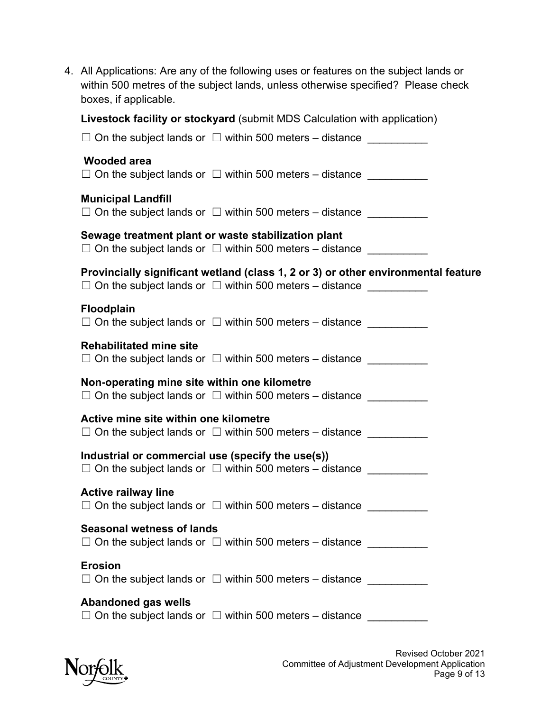| 4. All Applications: Are any of the following uses or features on the subject lands or<br>within 500 metres of the subject lands, unless otherwise specified? Please check<br>boxes, if applicable. |
|-----------------------------------------------------------------------------------------------------------------------------------------------------------------------------------------------------|
| Livestock facility or stockyard (submit MDS Calculation with application)                                                                                                                           |
| $\Box$ On the subject lands or $\Box$ within 500 meters – distance                                                                                                                                  |
| <b>Wooded area</b><br>$\Box$ On the subject lands or $\Box$ within 500 meters – distance                                                                                                            |
| <b>Municipal Landfill</b><br>$\Box$ On the subject lands or $\Box$ within 500 meters – distance                                                                                                     |
| Sewage treatment plant or waste stabilization plant<br>$\Box$ On the subject lands or $\Box$ within 500 meters – distance $\Box$                                                                    |
| Provincially significant wetland (class 1, 2 or 3) or other environmental feature<br>$\Box$ On the subject lands or $\Box$ within 500 meters – distance $\Box$                                      |
| <b>Floodplain</b><br>$\Box$ On the subject lands or $\Box$ within 500 meters – distance                                                                                                             |
| <b>Rehabilitated mine site</b><br>$\Box$ On the subject lands or $\Box$ within 500 meters – distance $\Box$                                                                                         |
| Non-operating mine site within one kilometre<br>$\Box$ On the subject lands or $\Box$ within 500 meters – distance $\Box$                                                                           |
| Active mine site within one kilometre<br>$\Box$ On the subject lands or $\Box$ within 500 meters – distance $\Box$                                                                                  |
| Industrial or commercial use (specify the use(s))<br>$\Box$ On the subject lands or $\Box$ within 500 meters – distance $\Box$                                                                      |
| <b>Active railway line</b><br>$\Box$ On the subject lands or $\Box$ within 500 meters – distance                                                                                                    |
| <b>Seasonal wetness of lands</b><br>$\Box$ On the subject lands or $\Box$ within 500 meters – distance                                                                                              |
| <b>Erosion</b><br>$\Box$ On the subject lands or $\Box$ within 500 meters – distance                                                                                                                |
| <b>Abandoned gas wells</b><br>$\Box$ On the subject lands or $\Box$ within 500 meters – distance                                                                                                    |

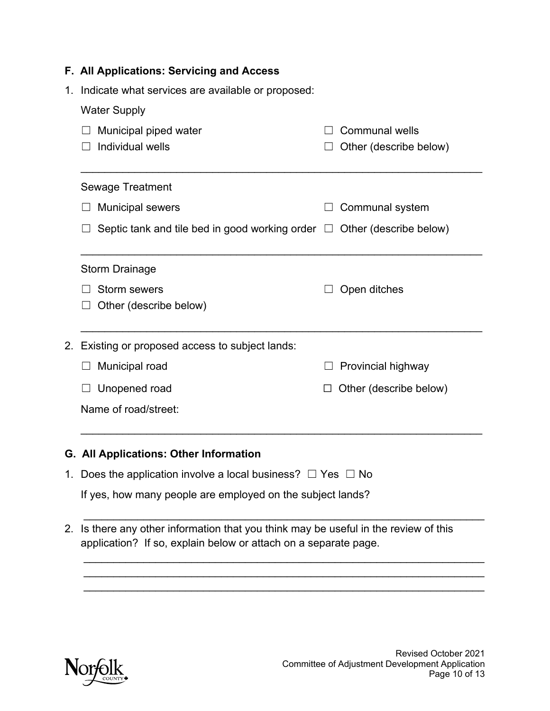|    | F. All Applications: Servicing and Access                                                                                                            |  |                        |  |  |
|----|------------------------------------------------------------------------------------------------------------------------------------------------------|--|------------------------|--|--|
| 1. | Indicate what services are available or proposed:                                                                                                    |  |                        |  |  |
|    | <b>Water Supply</b>                                                                                                                                  |  |                        |  |  |
|    | Municipal piped water                                                                                                                                |  | <b>Communal wells</b>  |  |  |
|    | Individual wells                                                                                                                                     |  | Other (describe below) |  |  |
|    | <b>Sewage Treatment</b>                                                                                                                              |  |                        |  |  |
|    | <b>Municipal sewers</b>                                                                                                                              |  | Communal system        |  |  |
|    | Septic tank and tile bed in good working order $\Box$ Other (describe below)                                                                         |  |                        |  |  |
|    | <b>Storm Drainage</b>                                                                                                                                |  |                        |  |  |
|    | <b>Storm sewers</b>                                                                                                                                  |  | Open ditches           |  |  |
|    | Other (describe below)                                                                                                                               |  |                        |  |  |
|    | 2. Existing or proposed access to subject lands:                                                                                                     |  |                        |  |  |
|    | Municipal road                                                                                                                                       |  | Provincial highway     |  |  |
|    | Unopened road                                                                                                                                        |  | Other (describe below) |  |  |
|    | Name of road/street:                                                                                                                                 |  |                        |  |  |
|    | G. All Applications: Other Information                                                                                                               |  |                        |  |  |
|    | 1. Does the application involve a local business? $\Box$ Yes $\Box$ No                                                                               |  |                        |  |  |
|    | If yes, how many people are employed on the subject lands?                                                                                           |  |                        |  |  |
| 2. | Is there any other information that you think may be useful in the review of this<br>application? If so, explain below or attach on a separate page. |  |                        |  |  |
|    |                                                                                                                                                      |  |                        |  |  |

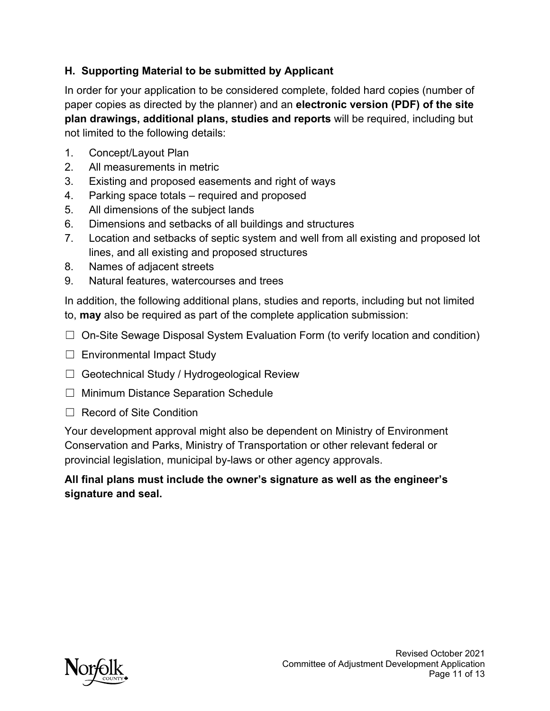# **H. Supporting Material to be submitted by Applicant**

In order for your application to be considered complete, folded hard copies (number of paper copies as directed by the planner) and an **electronic version (PDF) of the site plan drawings, additional plans, studies and reports** will be required, including but not limited to the following details:

- 1. Concept/Layout Plan
- 2. All measurements in metric
- 3. Existing and proposed easements and right of ways
- 4. Parking space totals required and proposed
- 5. All dimensions of the subject lands
- 6. Dimensions and setbacks of all buildings and structures
- 7. Location and setbacks of septic system and well from all existing and proposed lot lines, and all existing and proposed structures
- 8. Names of adjacent streets
- 9. Natural features, watercourses and trees

In addition, the following additional plans, studies and reports, including but not limited to, **may** also be required as part of the complete application submission:

- ☐ On-Site Sewage Disposal System Evaluation Form (to verify location and condition)
- □ Environmental Impact Study
- ☐ Geotechnical Study / Hydrogeological Review
- ☐ Minimum Distance Separation Schedule
- □ Record of Site Condition

Your development approval might also be dependent on Ministry of Environment Conservation and Parks, Ministry of Transportation or other relevant federal or provincial legislation, municipal by-laws or other agency approvals.

### **All final plans must include the owner's signature as well as the engineer's signature and seal.**

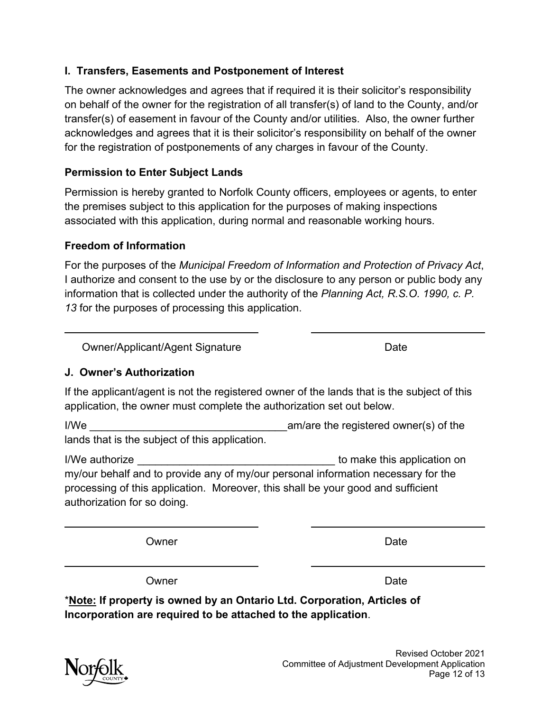### **I. Transfers, Easements and Postponement of Interest**

 The owner acknowledges and agrees that if required it is their solicitor's responsibility on behalf of the owner for the registration of all transfer(s) of land to the County, and/or transfer(s) of easement in favour of the County and/or utilities. Also, the owner further acknowledges and agrees that it is their solicitor's responsibility on behalf of the owner for the registration of postponements of any charges in favour of the County.

#### **Permission to Enter Subject Lands**

 Permission is hereby granted to Norfolk County officers, employees or agents, to enter the premises subject to this application for the purposes of making inspections associated with this application, during normal and reasonable working hours.

#### **Freedom of Information**

For the purposes of the *Municipal Freedom of Information and Protection of Privacy Act*, I authorize and consent to the use by or the disclosure to any person or public body any information that is collected under the authority of the *Planning Act, R.S.O. 1990, c. P. 13* for the purposes of processing this application.

Owner/Applicant/Agent Signature data that the Date

### **J. Owner's Authorization**

 If the applicant/agent is not the registered owner of the lands that is the subject of this application, the owner must complete the authorization set out below.

I/We  $\frac{1}{2}$  am/are the registered owner(s) of the lands that is the subject of this application.

 processing of this application. Moreover, this shall be your good and sufficient I/We authorize **I** all the state of the state of the state of the state of the state of the state of the state of the state of the state of the state of the state of the state of the state of the state of the state of the my/our behalf and to provide any of my/our personal information necessary for the authorization for so doing.

Owner **Date** 

Owner **Date** 

 \***Note: If property is owned by an Ontario Ltd. Corporation, Articles of Incorporation are required to be attached to the application**.<br>Revised October 2021